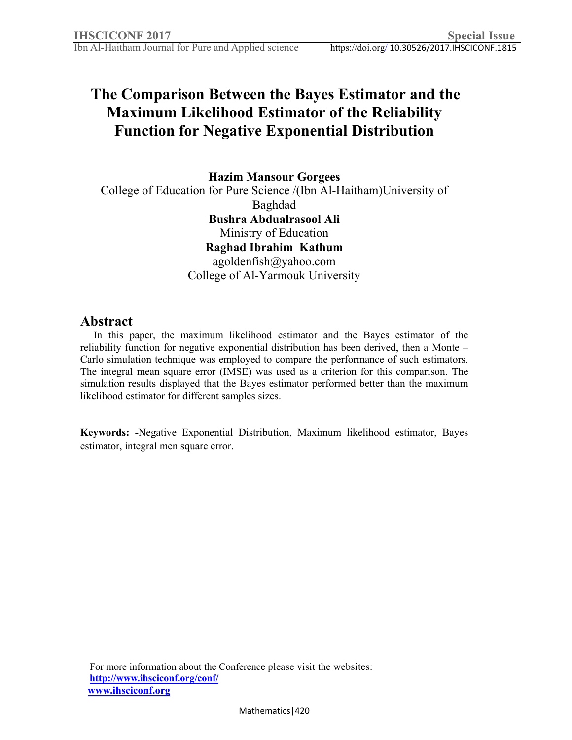# **The Comparison Between the Bayes Estimator and the Maximum Likelihood Estimator of the Reliability Function for Negative Exponential Distribution**

**Hazim Mansour Gorgees** 

College of Education for Pure Science /(Ibn Al-Haitham)University of Baghdad **Bushra Abdualrasool Ali**  Ministry of Education **Raghad Ibrahim Kathum**  agoldenfish@yahoo.com College of Al-Yarmouk University

# **Abstract**

 In this paper, the maximum likelihood estimator and the Bayes estimator of the reliability function for negative exponential distribution has been derived, then a Monte – Carlo simulation technique was employed to compare the performance of such estimators. The integral mean square error (IMSE) was used as a criterion for this comparison. The simulation results displayed that the Bayes estimator performed better than the maximum likelihood estimator for different samples sizes.

**Keywords: -**Negative Exponential Distribution, Maximum likelihood estimator, Bayes estimator, integral men square error.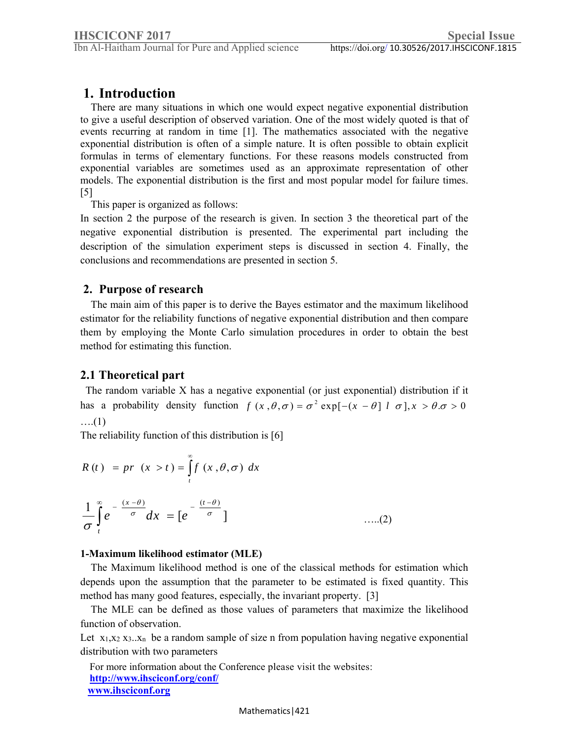# **1. Introduction**

 There are many situations in which one would expect negative exponential distribution to give a useful description of observed variation. One of the most widely quoted is that of events recurring at random in time [1]. The mathematics associated with the negative exponential distribution is often of a simple nature. It is often possible to obtain explicit formulas in terms of elementary functions. For these reasons models constructed from exponential variables are sometimes used as an approximate representation of other models. The exponential distribution is the first and most popular model for failure times. [5]

This paper is organized as follows:

In section 2 the purpose of the research is given. In section 3 the theoretical part of the negative exponential distribution is presented. The experimental part including the description of the simulation experiment steps is discussed in section 4. Finally, the conclusions and recommendations are presented in section 5.

## **2. Purpose of research**

 The main aim of this paper is to derive the Bayes estimator and the maximum likelihood estimator for the reliability functions of negative exponential distribution and then compare them by employing the Monte Carlo simulation procedures in order to obtain the best method for estimating this function.

## **2.1 Theoretical part**

 The random variable X has a negative exponential (or just exponential) distribution if it has a probability density function  $f(x, \theta, \sigma) = \sigma^2 \exp[-(x - \theta] \mid \sigma], x > \theta. \sigma > 0$ ….(1)

The reliability function of this distribution is [6]

$$
R(t) = pr(x>t) = \int_{t}^{\infty} f(x, \theta, \sigma) dx
$$
  

$$
\frac{1}{\sigma} \int_{t}^{\infty} e^{-\frac{(x-\theta)}{\sigma}} dx = [e^{-\frac{(t-\theta)}{\sigma}}]
$$
 .....(2)

#### **1-Maximum likelihood estimator (MLE)**

 The Maximum likelihood method is one of the classical methods for estimation which depends upon the assumption that the parameter to be estimated is fixed quantity. This method has many good features, especially, the invariant property. [3]

 The MLE can be defined as those values of parameters that maximize the likelihood function of observation.

Let  $x_1, x_2, x_3, x_n$  be a random sample of size n from population having negative exponential distribution with two parameters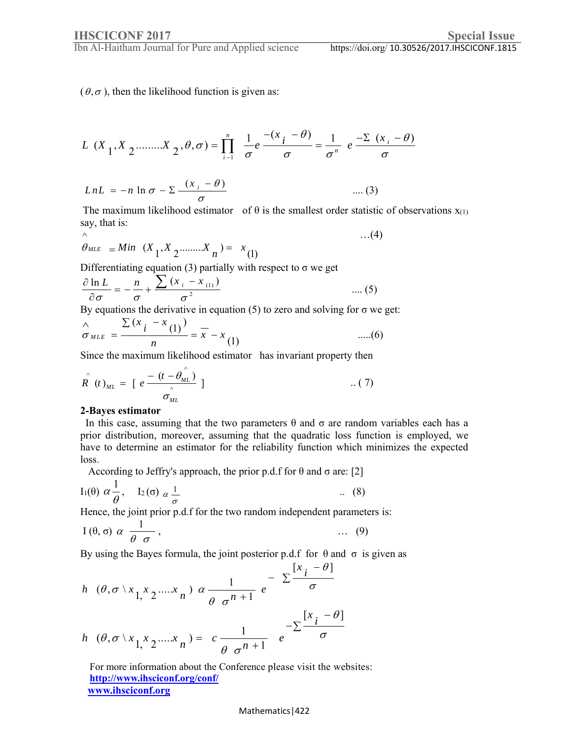Ibn Al-Haitham Journal for Pure and Applied science

…(4)

 $(\theta, \sigma)$ , then the likelihood function is given as:

$$
L(X_1, X_2, \dots, X_2, \theta, \sigma) = \prod_{i=1}^n \frac{1}{\sigma} e^{-\frac{(x_i - \theta)}{\sigma}} = \frac{1}{\sigma^n} e^{-\frac{(\sum (x_i - \theta)}{\sigma})}
$$

$$
LnL = -n \ln \sigma - \sum \frac{(x_i - \theta)}{\sigma}
$$
 .... (3)

The maximum likelihood estimator of  $\theta$  is the smallest order statistic of observations  $x_{(1)}$ say, that is:

$$
\hat{\theta}_{MLE} = Min (X_1, X_2 \dots X_n) = x_{(1)}
$$

Differentiating equation (3) partially with respect to  $\sigma$  we get

$$
\frac{\partial \ln L}{\partial \sigma} = -\frac{n}{\sigma} + \frac{\sum (x_i - x_{(1)})}{\sigma^2}
$$
 .... (5)

By equations the derivative in equation  $(5)$  to zero and solving for  $\sigma$  we get:

$$
\frac{\lambda}{\sigma_{MLE}} = \frac{\sum (x_i - x_{(1)})}{n} = \overline{x} - x_{(1)}
$$
 .....(6)

Since the maximum likelihood estimator has invariant property then

$$
\hat{R}(t)_{ML} = \left[ e^{-\frac{(t - \hat{\theta}_{ML})}{\hat{\sigma}_{ML}}} \right] \tag{7}
$$

#### **2-Bayes estimator**

In this case, assuming that the two parameters  $θ$  and  $σ$  are random variables each has a prior distribution, moreover, assuming that the quadratic loss function is employed, we have to determine an estimator for the reliability function which minimizes the expected loss.

According to Jeffry's approach, the prior p.d.f for  $\theta$  and  $\sigma$  are: [2]

$$
I_1(\theta) \alpha \frac{1}{\theta}, \quad I_2(\sigma) \alpha \frac{1}{\sigma}
$$
 \t\t(8)

Hence, the joint prior p.d.f for the two random independent parameters is:

$$
I(\theta, \sigma) \alpha \frac{1}{\theta \sigma}, \qquad \qquad \dots \quad (9)
$$

By using the Bayes formula, the joint posterior p.d.f for  $\theta$  and  $\sigma$  is given as

$$
h \quad (\theta, \sigma \setminus x_{1,} x_{2,} \dots x_{n}) \alpha \frac{1}{\theta \sigma^{n+1}} e^{-\sum_{i=1}^{n} \frac{[x_{i} - \theta]}{\sigma}}
$$
  

$$
h \quad (\theta, \sigma \setminus x_{1,} x_{2,} \dots x_{n}) = c \frac{1}{\theta \sigma^{n+1}} e^{-\sum_{i=1}^{n} \frac{[x_{i} - \theta]}{\sigma}}
$$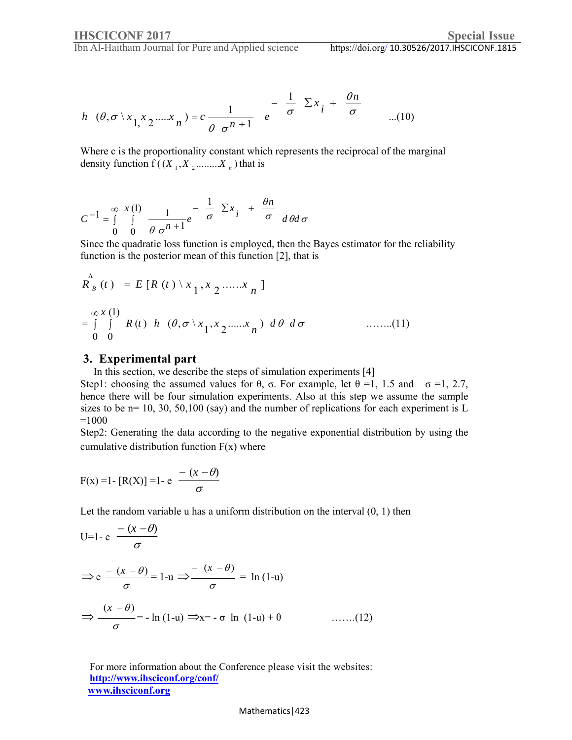Ibn Al-Haitham Journal for Pure and Applied science

$$
h \ (\theta, \sigma \setminus x_1, x_2, \dots, x_n) = c \frac{1}{\theta \sigma^{n+1}} e^{-\frac{1}{\sigma} \sum x_i + \frac{\theta n}{\sigma}} \qquad \dots (10)
$$

Where c is the proportionality constant which represents the reciprocal of the marginal density function  $f((X_1, X_2, \ldots, X_n))$  that is

$$
C^{-1} = \int_{0}^{\infty} \int_{0}^{x(1)} \frac{1}{\theta \sigma^{n+1}} e^{-\frac{1}{\sigma} \sum x_{i}} + \frac{\theta n}{\sigma} d\theta d\sigma
$$

Since the quadratic loss function is employed, then the Bayes estimator for the reliability function is the posterior mean of this function [2], that is

$$
R_B^{\Lambda}(t) = E[R(t) \setminus x_1, x_2, ..., x_n]
$$
  
=  $\int_{0}^{\infty} \int_{0}^{1} R(t) h(\theta, \sigma \setminus x_1, x_2, ..., x_n) d\theta d\sigma$  ......(11)

#### **3. Experimental part**

In this section, we describe the steps of simulation experiments [4]

Step1: choosing the assumed values for  $\theta$ ,  $\sigma$ . For example, let  $\theta = 1$ , 1.5 and  $\sigma = 1$ , 2.7, hence there will be four simulation experiments. Also at this step we assume the sample sizes to be  $n= 10, 30, 50, 100$  (say) and the number of replications for each experiment is L  $=1000$ 

Step2: Generating the data according to the negative exponential distribution by using the cumulative distribution function  $F(x)$  where

$$
F(x) = 1 - [R(X)] = 1 - e \frac{-(x - \theta)}{\sigma}
$$

Let the random variable u has a uniform distribution on the interval  $(0, 1)$  then

$$
U=1-e^{-\frac{(x-\theta)}{\sigma}}
$$
  
\n
$$
\Rightarrow e^{-\frac{(x-\theta)}{\sigma}}=1-u \Rightarrow \frac{-(x-\theta)}{\sigma}=\ln(1-u)
$$
  
\n
$$
\Rightarrow \frac{(x-\theta)}{\sigma}=-\ln(1-u) \Rightarrow x=-\sigma \ln(1-u)+\theta \qquad ......(12)
$$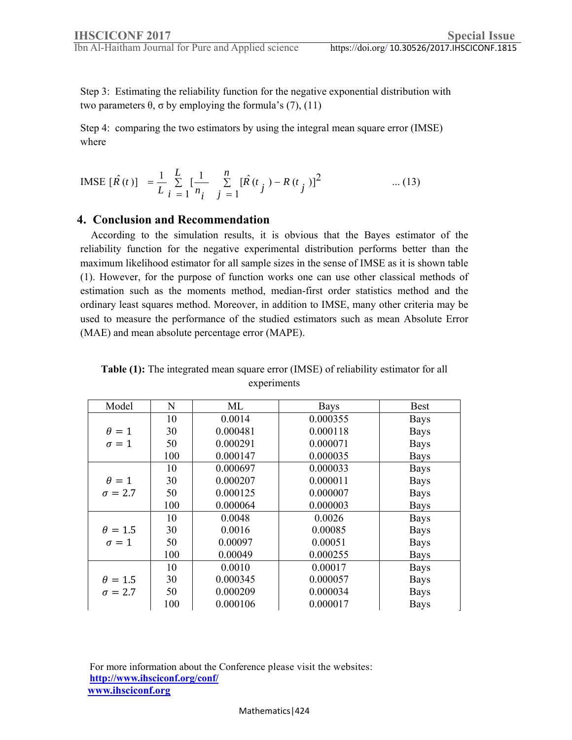Step 3: Estimating the reliability function for the negative exponential distribution with two parameters  $θ$ ,  $σ$  by employing the formula's (7), (11)

Step 4: comparing the two estimators by using the integral mean square error (IMSE) where

$$
\text{IMSE} \left[ \hat{R}(t) \right] = \frac{1}{L} \sum_{i=1}^{L} \left[ \frac{1}{n_i} \sum_{j=1}^{n} \left[ \hat{R}(t_j) - R(t_j) \right]^{2} \qquad \qquad \dots (13)
$$

### **4. Conclusion and Recommendation**

 According to the simulation results, it is obvious that the Bayes estimator of the reliability function for the negative experimental distribution performs better than the maximum likelihood estimator for all sample sizes in the sense of IMSE as it is shown table (1). However, for the purpose of function works one can use other classical methods of estimation such as the moments method, median-first order statistics method and the ordinary least squares method. Moreover, in addition to IMSE, many other criteria may be used to measure the performance of the studied estimators such as mean Absolute Error (MAE) and mean absolute percentage error (MAPE).

| <b>Table (1):</b> The integrated mean square error (IMSE) of reliability estimator for all |
|--------------------------------------------------------------------------------------------|
| experiments                                                                                |

| Model          | N   | ML       | <b>Bays</b> | <b>Best</b> |
|----------------|-----|----------|-------------|-------------|
|                | 10  | 0.0014   | 0.000355    | <b>Bays</b> |
| $\theta = 1$   | 30  | 0.000481 | 0.000118    | <b>Bays</b> |
| $\sigma = 1$   | 50  | 0.000291 | 0.000071    | <b>Bays</b> |
|                | 100 | 0.000147 | 0.000035    | <b>Bays</b> |
|                | 10  | 0.000697 | 0.000033    | <b>Bays</b> |
| $\theta = 1$   | 30  | 0.000207 | 0.000011    | <b>Bays</b> |
| $\sigma = 2.7$ | 50  | 0.000125 | 0.000007    | <b>Bays</b> |
|                | 100 | 0.000064 | 0.000003    | <b>Bays</b> |
|                | 10  | 0.0048   | 0.0026      | <b>Bays</b> |
| $\theta = 1.5$ | 30  | 0.0016   | 0.00085     | <b>Bays</b> |
| $\sigma = 1$   | 50  | 0.00097  | 0.00051     | <b>Bays</b> |
|                | 100 | 0.00049  | 0.000255    | <b>Bays</b> |
|                | 10  | 0.0010   | 0.00017     | <b>Bays</b> |
| $\theta = 1.5$ | 30  | 0.000345 | 0.000057    | <b>Bays</b> |
| $\sigma = 2.7$ | 50  | 0.000209 | 0.000034    | <b>Bays</b> |
|                | 100 | 0.000106 | 0.000017    | <b>Bays</b> |